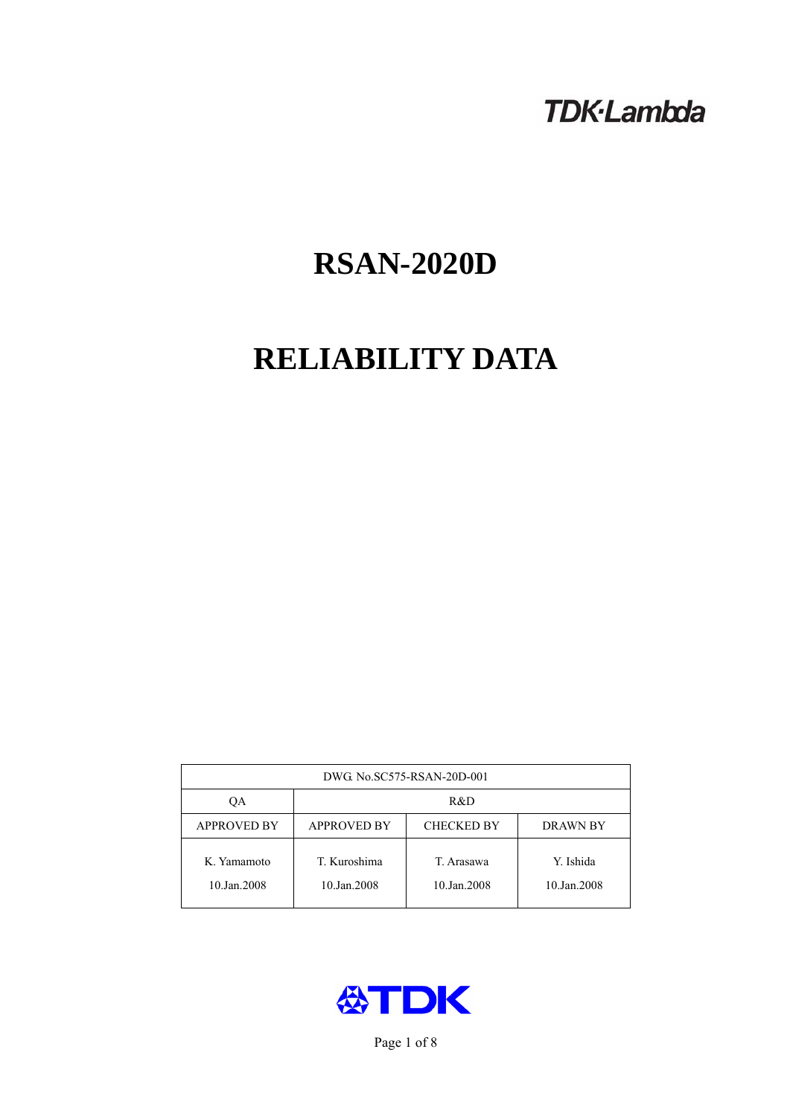## **TDK-Lambda**

# **RSAN-2020D**

## **RELIABILITY DATA**

| DWG. No.SC575-RSAN-20D-001 |                                                     |                           |                          |  |  |
|----------------------------|-----------------------------------------------------|---------------------------|--------------------------|--|--|
| OА                         | R&D                                                 |                           |                          |  |  |
| <b>APPROVED BY</b>         | <b>APPROVED BY</b><br><b>CHECKED BY</b><br>DRAWN BY |                           |                          |  |  |
| K. Yamamoto<br>10.Jan.2008 | T. Kuroshima<br>10.Jan.2008                         | T. Arasawa<br>10.Jan.2008 | Y. Ishida<br>10.Jan.2008 |  |  |



Page 1 of 8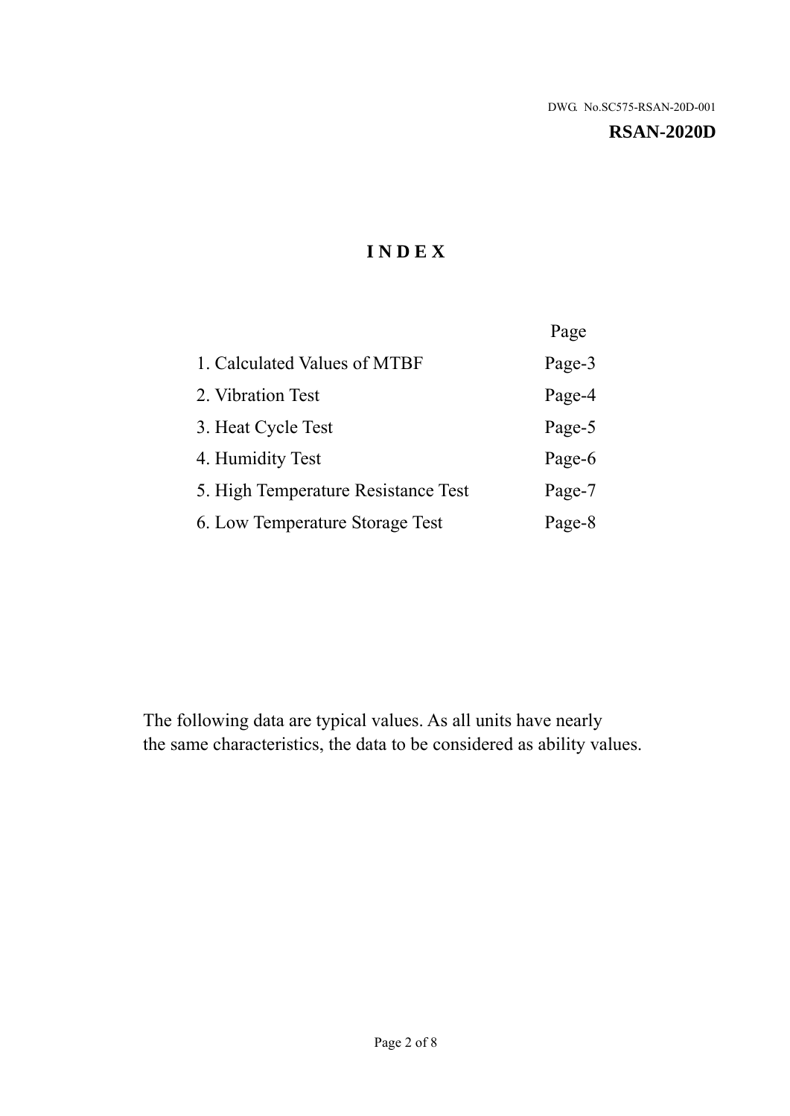#### **RSAN-2020D**

## **I N D E X**

|                                     | Page   |
|-------------------------------------|--------|
| 1. Calculated Values of MTBF        | Page-3 |
| 2. Vibration Test                   | Page-4 |
| 3. Heat Cycle Test                  | Page-5 |
| 4. Humidity Test                    | Page-6 |
| 5. High Temperature Resistance Test | Page-7 |
| 6. Low Temperature Storage Test     | Page-8 |

The following data are typical values. As all units have nearly the same characteristics, the data to be considered as ability values.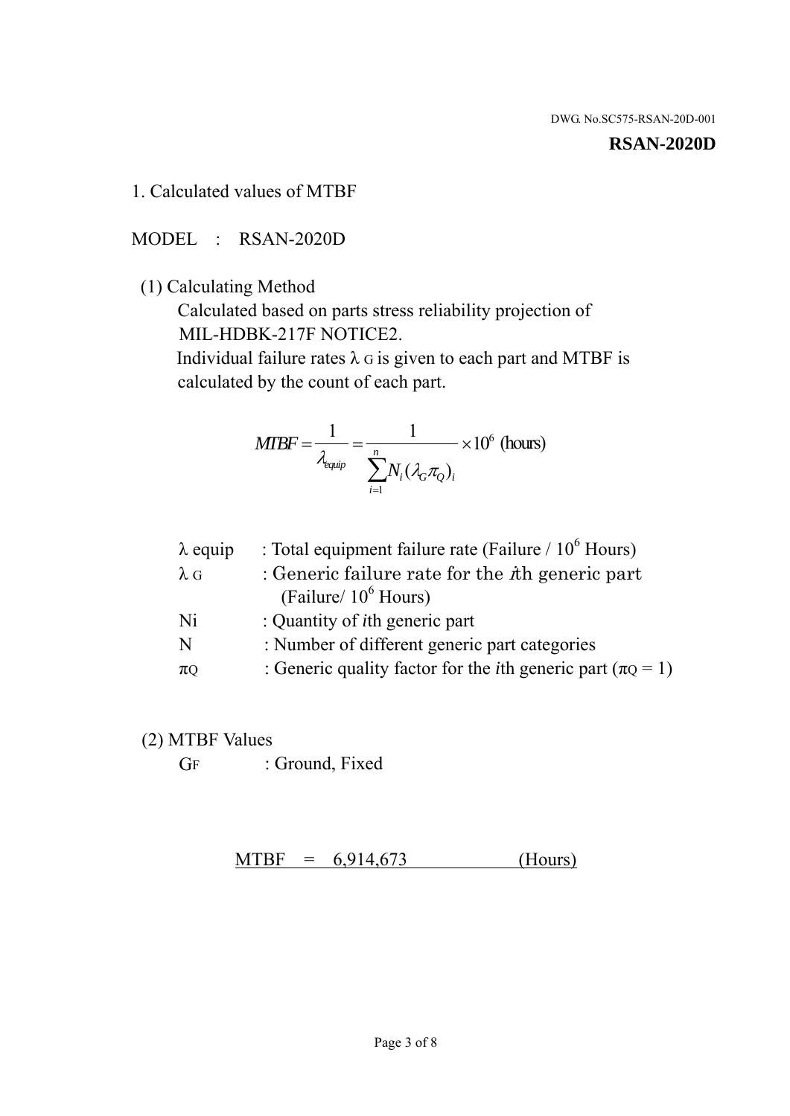#### **RSAN-2020D**

1. Calculated values of MTBF

MODEL : RSAN-2020D

(1) Calculating Method

 Calculated based on parts stress reliability projection of MIL-HDBK-217F NOTICE2.

Individual failure rates  $\lambda$  G is given to each part and MTBF is calculated by the count of each part.

$$
MTBF = \frac{1}{\lambda_{\text{equip}}} = \frac{1}{\sum_{i=1}^{n} N_i (\lambda_G \pi_Q)_i} \times 10^6 \text{ (hours)}
$$

| : Total equipment failure rate (Failure / $10^6$ Hours)                   |
|---------------------------------------------------------------------------|
| : Generic failure rate for the $\hbar$ generic part                       |
| (Failure/ $10^6$ Hours)                                                   |
| : Quantity of <i>i</i> th generic part                                    |
| : Number of different generic part categories                             |
| : Generic quality factor for the <i>i</i> th generic part ( $\pi Q = 1$ ) |
|                                                                           |

- (2) MTBF Values
	- GF : Ground, Fixed

 $MTBF = 6,914,673$  (Hours)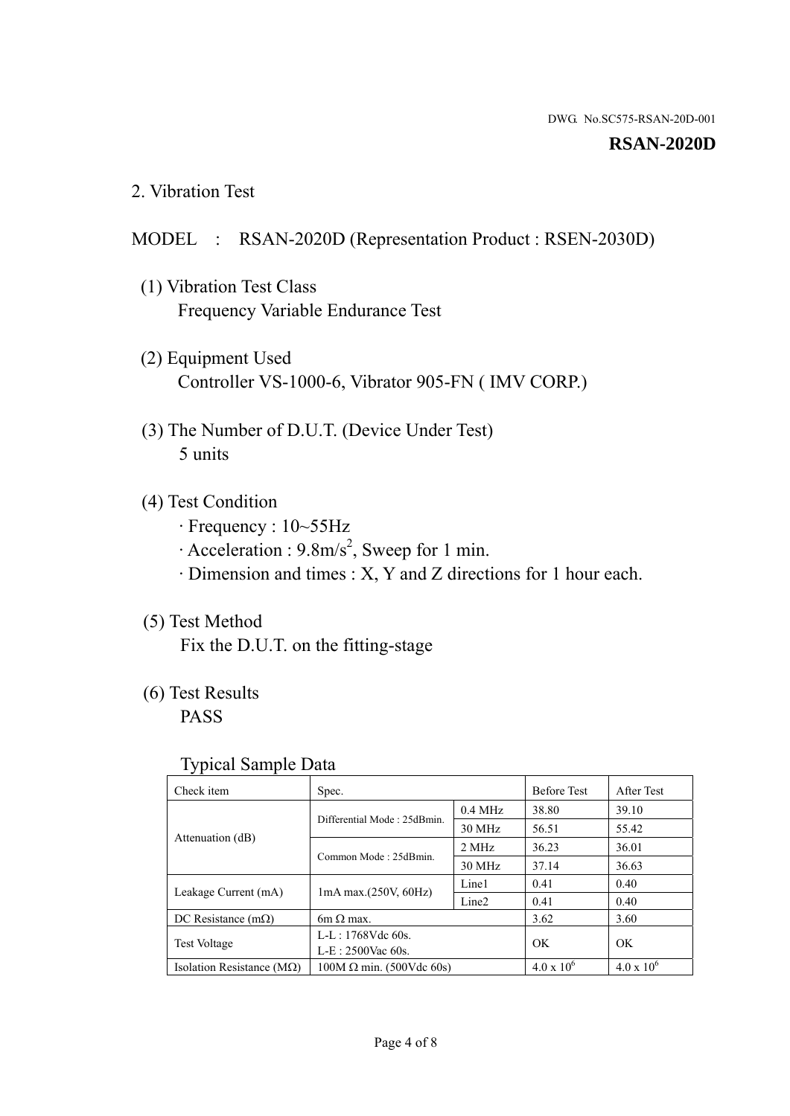#### **RSAN-2020D**

2. Vibration Test

## MODEL : RSAN-2020D (Representation Product : RSEN-2030D)

- (1) Vibration Test Class Frequency Variable Endurance Test
- (2) Equipment Used Controller VS-1000-6, Vibrator 905-FN ( IMV CORP.)
- (3) The Number of D.U.T. (Device Under Test) 5 units
- (4) Test Condition
	- · Frequency : 10~55Hz
	- $\cdot$  Acceleration : 9.8m/s<sup>2</sup>, Sweep for 1 min.
	- · Dimension and times : X, Y and Z directions for 1 hour each.

## (5) Test Method

Fix the D.U.T. on the fitting-stage

## (6) Test Results

PASS

#### Typical Sample Data

| ັ່                                 |                                 |                   |                     |                   |
|------------------------------------|---------------------------------|-------------------|---------------------|-------------------|
| Check item                         | Spec.                           |                   | <b>Before Test</b>  | After Test        |
|                                    | Differential Mode: 25dBmin.     | $0.4$ MHz         | 38.80               | 39.10             |
|                                    |                                 | 30 MHz            | 56.51               | 55.42             |
| Attenuation (dB)                   | Common Mode: 25dBmin.           | 2 MHz             | 36.23               | 36.01             |
|                                    |                                 | 30 MHz            | 37.14               | 36.63             |
| Leakage Current (mA)               | $1mA$ max. $(250V, 60Hz)$       | Line1             | 0.41                | 0.40              |
|                                    |                                 | Line <sub>2</sub> | 0.41                | 0.40              |
| DC Resistance $(m\Omega)$          | 6m $\Omega$ max.                |                   | 3.62                | 3.60              |
| <b>Test Voltage</b>                | $L-L: 1768Vdc$ 60s.             |                   | OK                  | OK.               |
|                                    | $L-E: 2500$ Vac 60s.            |                   |                     |                   |
| Isolation Resistance ( $M\Omega$ ) | $100M \Omega$ min. (500Vdc 60s) |                   | $4.0 \times 10^{6}$ | $4.0 \times 10^6$ |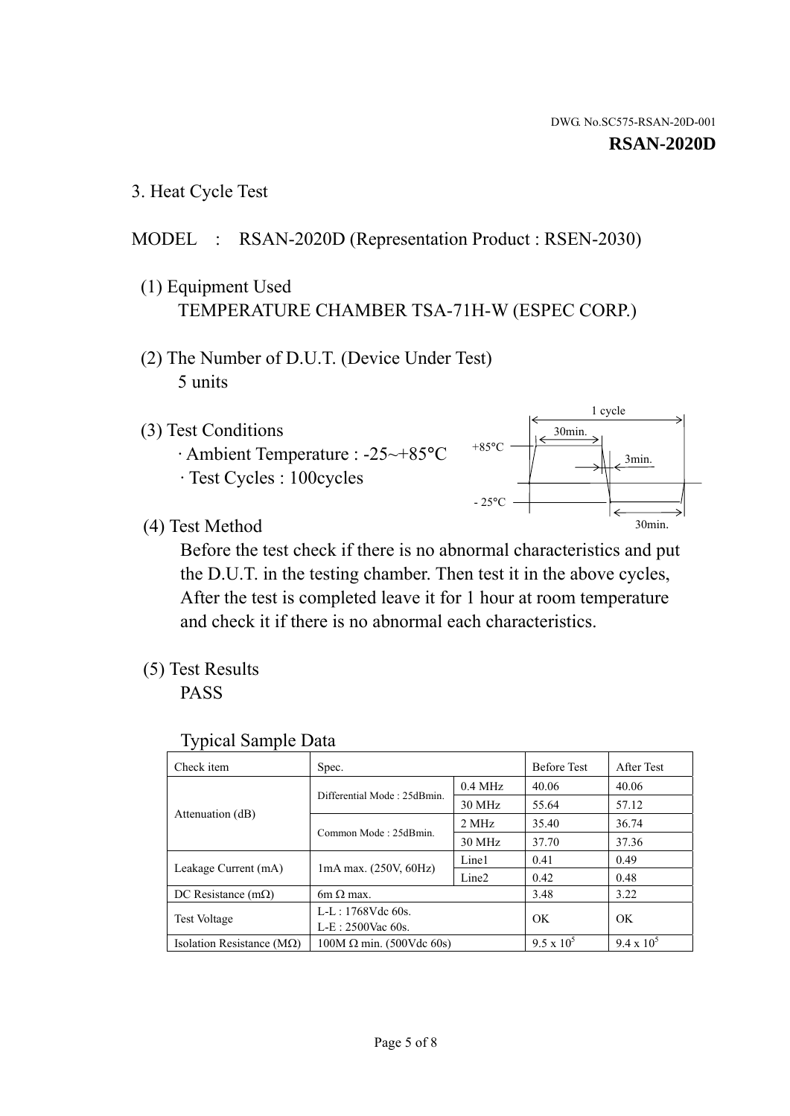1 cycle

30min.

3min.

30min.

3. Heat Cycle Test

### MODEL : RSAN-2020D (Representation Product : RSEN-2030)

- (1) Equipment Used TEMPERATURE CHAMBER TSA-71H-W (ESPEC CORP.)
- (2) The Number of D.U.T. (Device Under Test) 5 units
- (3) Test Conditions
	- · Ambient Temperature : -25~+85°C · Test Cycles : 100cycles
- (4) Test Method

 Before the test check if there is no abnormal characteristics and put the D.U.T. in the testing chamber. Then test it in the above cycles, After the test is completed leave it for 1 hour at room temperature and check it if there is no abnormal each characteristics.

+85°C

 $-25^{\circ}$ C

(5) Test Results

PASS

| <b>Typical Sample Data</b> |  |  |
|----------------------------|--|--|
|----------------------------|--|--|

| Check item                    | Spec.                           |                   | <b>Before Test</b> | After Test        |
|-------------------------------|---------------------------------|-------------------|--------------------|-------------------|
|                               | Differential Mode: 25dBmin.     | $0.4$ MHz         | 40.06              | 40.06             |
|                               |                                 | 30 MHz            | 55.64              | 57.12             |
| Attenuation (dB)              | Common Mode: 25dBmin.           | 2 MHz             | 35.40              | 36.74             |
|                               |                                 | 30 MHz            | 37.70              | 37.36             |
| Leakage Current (mA)          | $1mA$ max. $(250V, 60Hz)$       | Line1             | 0.41               | 0.49              |
|                               |                                 | Line <sub>2</sub> | 0.42               | 0.48              |
| DC Resistance $(m\Omega)$     | $6m \Omega$ max.                |                   | 3.48               | 3.22              |
| <b>Test Voltage</b>           | $L-L: 1768Vdc$ 60s.             |                   | OK                 | OK                |
|                               | $L-E$ : 2500Vac 60s.            |                   |                    |                   |
| Isolation Resistance ( $MQ$ ) | $100M \Omega$ min. (500Vdc 60s) |                   | $9.5 \times 10^5$  | $9.4 \times 10^5$ |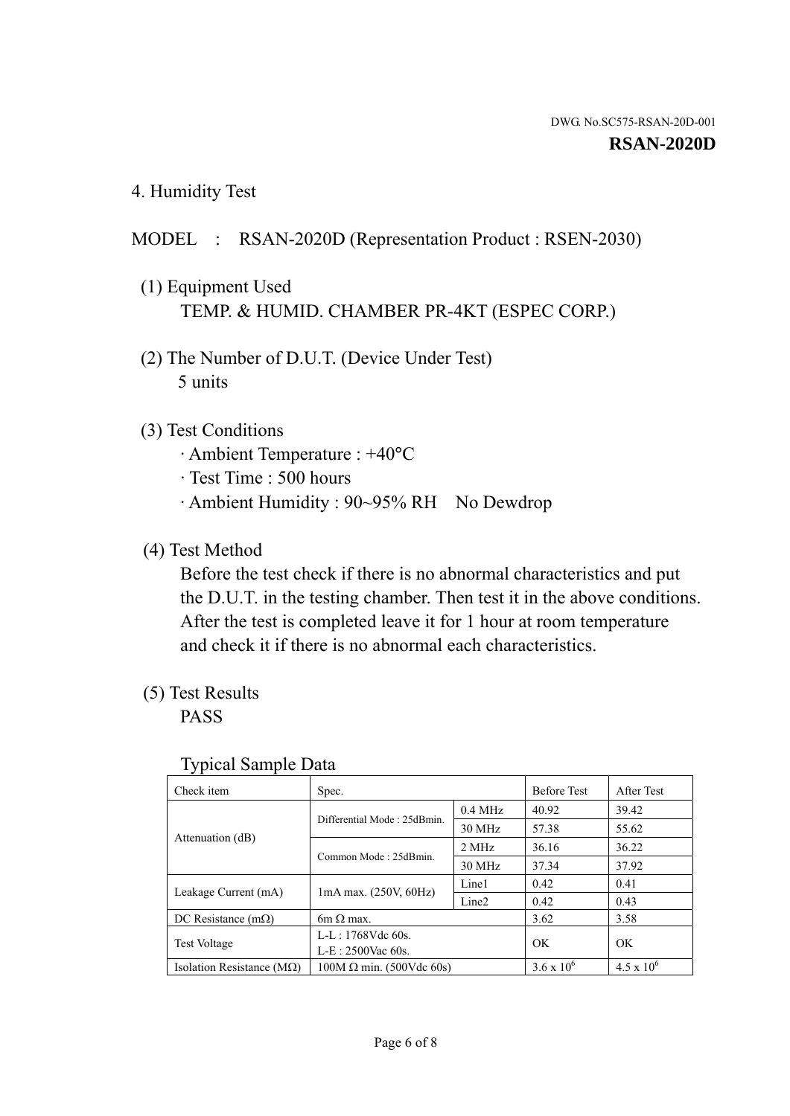4. Humidity Test

## MODEL : RSAN-2020D (Representation Product : RSEN-2030)

- (1) Equipment Used TEMP. & HUMID. CHAMBER PR-4KT (ESPEC CORP.)
- (2) The Number of D.U.T. (Device Under Test) 5 units

### (3) Test Conditions

- · Ambient Temperature : +40°C
- · Test Time : 500 hours
- · Ambient Humidity : 90~95% RH No Dewdrop

## (4) Test Method

 Before the test check if there is no abnormal characteristics and put the D.U.T. in the testing chamber. Then test it in the above conditions. After the test is completed leave it for 1 hour at room temperature and check it if there is no abnormal each characteristics.

## (5) Test Results

PASS

| ╯┸                                 |                                 |                   |                     |                     |
|------------------------------------|---------------------------------|-------------------|---------------------|---------------------|
| Check item                         | Spec.                           |                   | <b>Before Test</b>  | After Test          |
| Attenuation (dB)                   | Differential Mode: 25dBmin.     | $0.4$ MHz         | 40.92               | 39.42               |
|                                    |                                 | 30 MHz            | 57.38               | 55.62               |
|                                    | Common Mode: 25dBmin.           | 2 MHz             | 36.16               | 36.22               |
|                                    |                                 | 30 MHz            | 37.34               | 37.92               |
| Leakage Current (mA)               | $1mA$ max. $(250V, 60Hz)$       | Line1             | 0.42                | 0.41                |
|                                    |                                 | Line <sub>2</sub> | 0.42                | 0.43                |
| DC Resistance $(m\Omega)$          | $6m \Omega$ max.                |                   | 3.62                | 3.58                |
| <b>Test Voltage</b>                | $L-L: 1768Vdc$ 60s.             |                   | OK                  | OK                  |
|                                    | $L-E: 2500$ Vac 60s.            |                   |                     |                     |
| Isolation Resistance ( $M\Omega$ ) | $100M \Omega$ min. (500Vdc 60s) |                   | $3.6 \times 10^{6}$ | $4.5 \times 10^{6}$ |

#### Typical Sample Data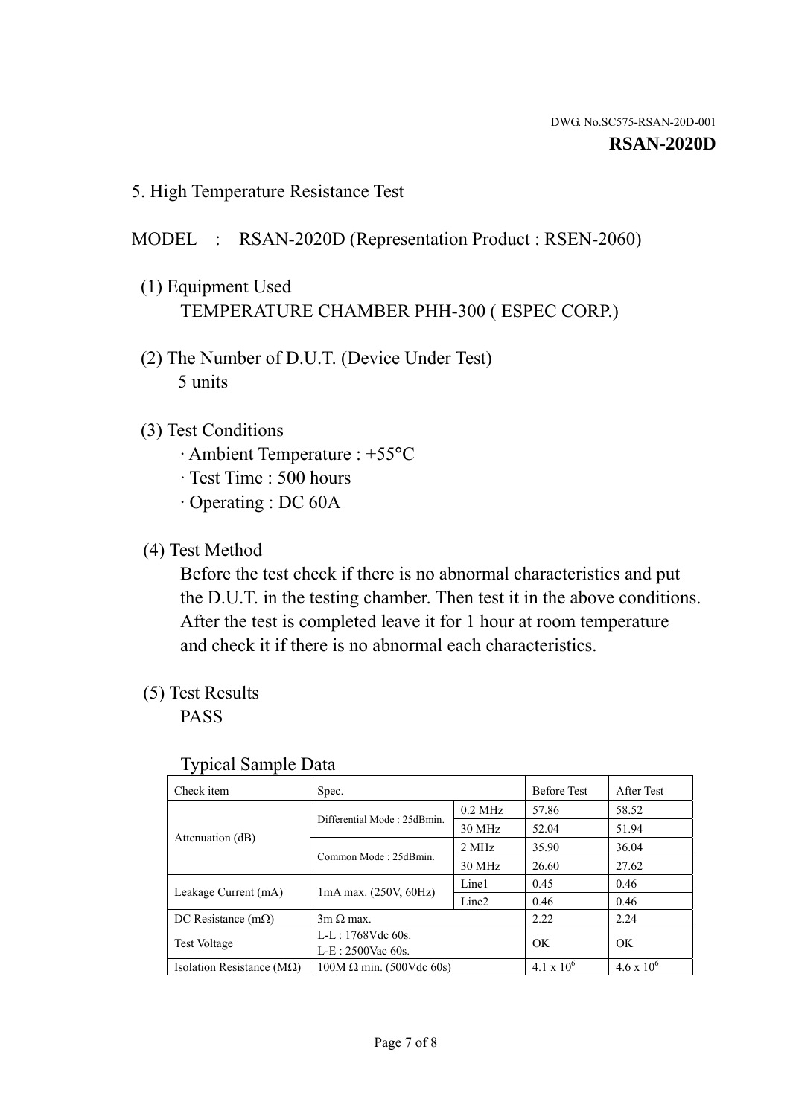5. High Temperature Resistance Test

## MODEL : RSAN-2020D (Representation Product : RSEN-2060)

- (1) Equipment Used TEMPERATURE CHAMBER PHH-300 ( ESPEC CORP.)
- (2) The Number of D.U.T. (Device Under Test) 5 units
- (3) Test Conditions
	- · Ambient Temperature : +55°C
	- · Test Time : 500 hours
	- · Operating : DC 60A
- (4) Test Method

 Before the test check if there is no abnormal characteristics and put the D.U.T. in the testing chamber. Then test it in the above conditions. After the test is completed leave it for 1 hour at room temperature and check it if there is no abnormal each characteristics.

(5) Test Results

PASS

| ┙┸                                 |                                 |                   |                     |                     |
|------------------------------------|---------------------------------|-------------------|---------------------|---------------------|
| Check item                         | Spec.                           |                   | <b>Before Test</b>  | After Test          |
|                                    | Differential Mode: 25dBmin.     | $0.2$ MHz         | 57.86               | 58.52               |
|                                    |                                 | 30 MHz            | 52.04               | 51.94               |
| Attenuation (dB)                   | Common Mode: 25dBmin.           | 2 MHz             | 35.90               | 36.04               |
|                                    |                                 | 30 MHz            | 26.60               | 27.62               |
| Leakage Current (mA)               | $1mA$ max. $(250V, 60Hz)$       | Line1             | 0.45                | 0.46                |
|                                    |                                 | Line <sub>2</sub> | 0.46                | 0.46                |
| DC Resistance $(m\Omega)$          | $3m \Omega$ max.                |                   | 2.22                | 2.24                |
| <b>Test Voltage</b>                | $L-L: 1768Vdc$ 60s.             |                   | OK                  | OK                  |
|                                    | $L-E: 2500$ Vac 60s.            |                   |                     |                     |
| Isolation Resistance ( $M\Omega$ ) | $100M \Omega$ min. (500Vdc 60s) |                   | $4.1 \times 10^{6}$ | $4.6 \times 10^{6}$ |

#### Typical Sample Data